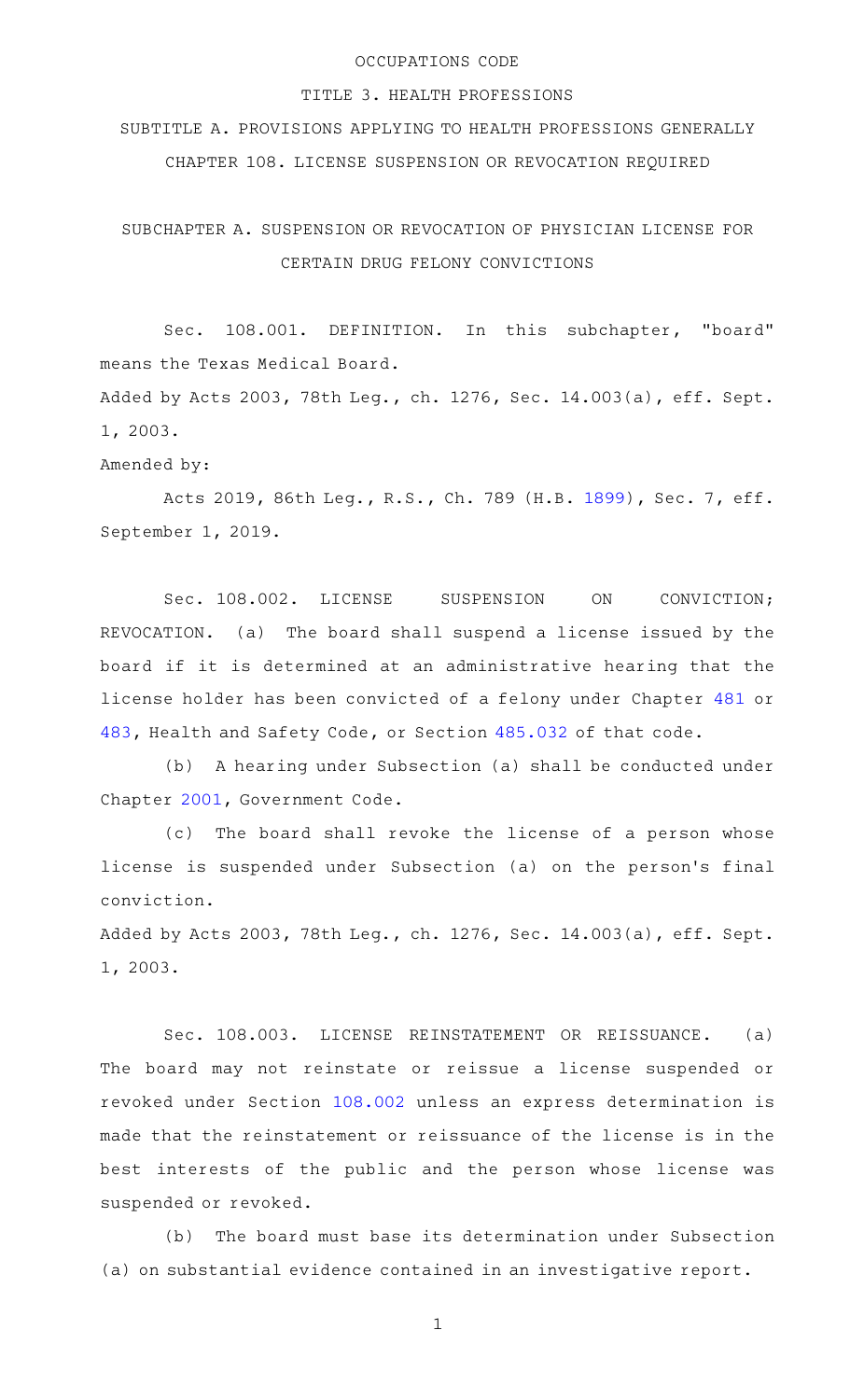## OCCUPATIONS CODE

## TITLE 3. HEALTH PROFESSIONS

SUBTITLE A. PROVISIONS APPLYING TO HEALTH PROFESSIONS GENERALLY CHAPTER 108. LICENSE SUSPENSION OR REVOCATION REQUIRED

SUBCHAPTER A. SUSPENSION OR REVOCATION OF PHYSICIAN LICENSE FOR CERTAIN DRUG FELONY CONVICTIONS

Sec. 108.001. DEFINITION. In this subchapter, "board" means the Texas Medical Board.

Added by Acts 2003, 78th Leg., ch. 1276, Sec. 14.003(a), eff. Sept. 1, 2003.

Amended by:

Acts 2019, 86th Leg., R.S., Ch. 789 (H.B. [1899](http://www.legis.state.tx.us/tlodocs/86R/billtext/html/HB01899F.HTM)), Sec. 7, eff. September 1, 2019.

Sec. 108.002. LICENSE SUSPENSION ON CONVICTION; REVOCATION. (a) The board shall suspend a license issued by the board if it is determined at an administrative hearing that the license holder has been convicted of a felony under Chapter [481](http://www.statutes.legis.state.tx.us/GetStatute.aspx?Code=HS&Value=481) or [483,](http://www.statutes.legis.state.tx.us/GetStatute.aspx?Code=HS&Value=483) Health and Safety Code, or Section [485.032](http://www.statutes.legis.state.tx.us/GetStatute.aspx?Code=HS&Value=485.032) of that code.

(b) A hearing under Subsection (a) shall be conducted under Chapter [2001](http://www.statutes.legis.state.tx.us/GetStatute.aspx?Code=GV&Value=2001), Government Code.

(c) The board shall revoke the license of a person whose license is suspended under Subsection (a) on the person's final conviction.

Added by Acts 2003, 78th Leg., ch. 1276, Sec. 14.003(a), eff. Sept. 1, 2003.

Sec. 108.003. LICENSE REINSTATEMENT OR REISSUANCE. (a) The board may not reinstate or reissue a license suspended or revoked under Section [108.002](http://www.statutes.legis.state.tx.us/GetStatute.aspx?Code=OC&Value=108.002) unless an express determination is made that the reinstatement or reissuance of the license is in the best interests of the public and the person whose license was suspended or revoked.

(b) The board must base its determination under Subsection (a) on substantial evidence contained in an investigative report.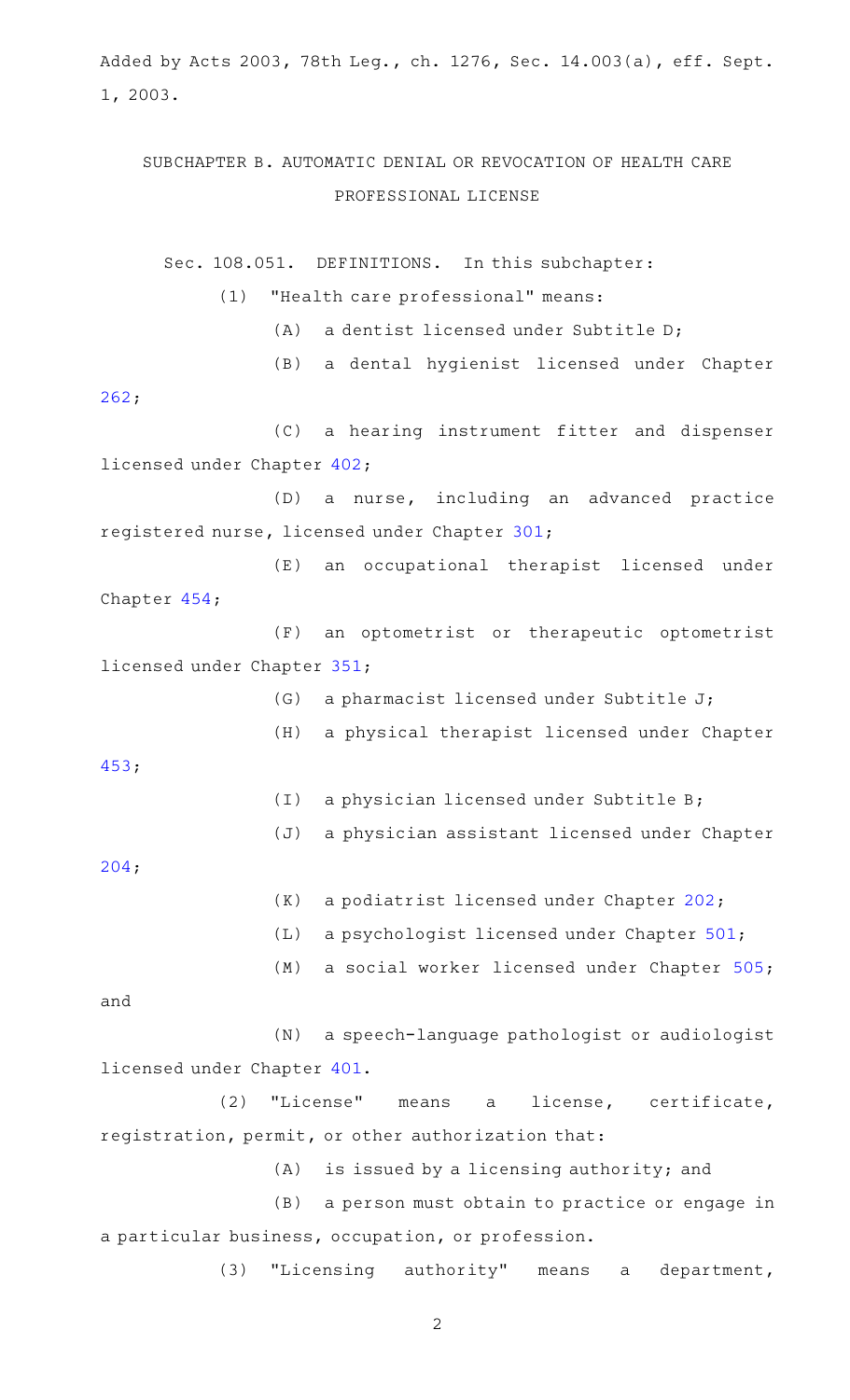Added by Acts 2003, 78th Leg., ch. 1276, Sec. 14.003(a), eff. Sept. 1, 2003.

## SUBCHAPTER B. AUTOMATIC DENIAL OR REVOCATION OF HEALTH CARE PROFESSIONAL LICENSE

Sec. 108.051. DEFINITIONS. In this subchapter: (1) "Health care professional" means:

 $(A)$  a dentist licensed under Subtitle D;

(B) a dental hygienist licensed under Chapter

[262;](http://www.statutes.legis.state.tx.us/GetStatute.aspx?Code=OC&Value=262)

(C) a hearing instrument fitter and dispenser licensed under Chapter [402;](http://www.statutes.legis.state.tx.us/GetStatute.aspx?Code=OC&Value=402)

(D) a nurse, including an advanced practice registered nurse, licensed under Chapter [301;](http://www.statutes.legis.state.tx.us/GetStatute.aspx?Code=OC&Value=301)

(E) an occupational therapist licensed under Chapter [454;](http://www.statutes.legis.state.tx.us/GetStatute.aspx?Code=OC&Value=454)

(F) an optometrist or therapeutic optometrist licensed under Chapter [351;](http://www.statutes.legis.state.tx.us/GetStatute.aspx?Code=OC&Value=351)

> $(G)$  a pharmacist licensed under Subtitle J; (H) a physical therapist licensed under Chapter (I) a physician licensed under Subtitle B;

[204;](http://www.statutes.legis.state.tx.us/GetStatute.aspx?Code=OC&Value=204)

[453;](http://www.statutes.legis.state.tx.us/GetStatute.aspx?Code=OC&Value=453)

 $(K)$  a podiatrist licensed under Chapter [202](http://www.statutes.legis.state.tx.us/GetStatute.aspx?Code=OC&Value=202);

(J) a physician assistant licensed under Chapter

 $(L)$  a psychologist licensed under Chapter [501](http://www.statutes.legis.state.tx.us/GetStatute.aspx?Code=OC&Value=501);

(M) a social worker licensed under Chapter [505](http://www.statutes.legis.state.tx.us/GetStatute.aspx?Code=OC&Value=505);

and

(N) a speech-language pathologist or audiologist licensed under Chapter [401.](http://www.statutes.legis.state.tx.us/GetStatute.aspx?Code=OC&Value=401)

(2) "License" means a license, certificate, registration, permit, or other authorization that:

 $(A)$  is issued by a licensing authority; and

(B) a person must obtain to practice or engage in a particular business, occupation, or profession.

(3) "Licensing authority" means a department,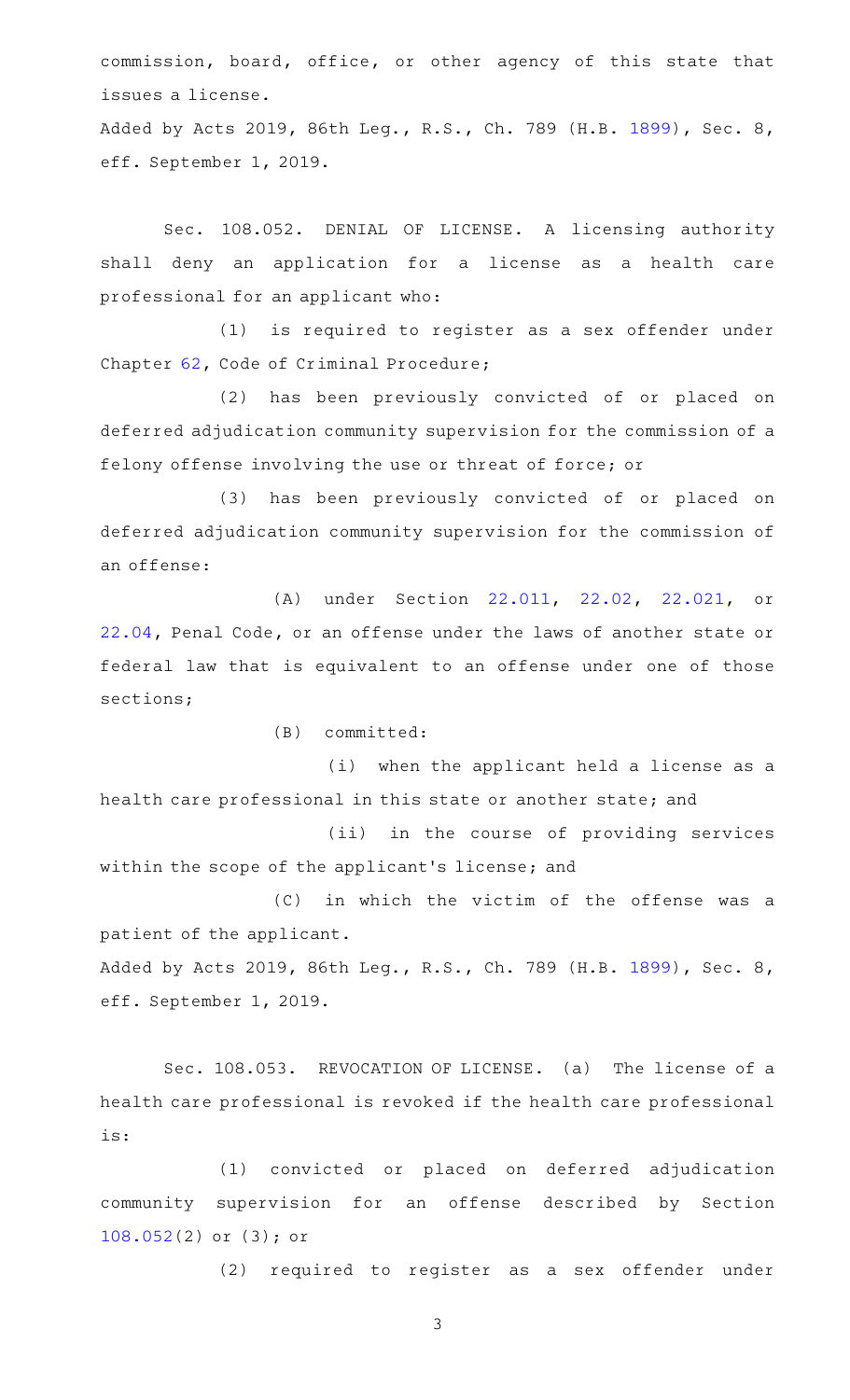commission, board, office, or other agency of this state that issues a license.

Added by Acts 2019, 86th Leg., R.S., Ch. 789 (H.B. [1899](http://www.legis.state.tx.us/tlodocs/86R/billtext/html/HB01899F.HTM)), Sec. 8, eff. September 1, 2019.

Sec. 108.052. DENIAL OF LICENSE. A licensing authority shall deny an application for a license as a health care professional for an applicant who:

(1) is required to register as a sex offender under Chapter [62,](http://www.statutes.legis.state.tx.us/GetStatute.aspx?Code=CR&Value=62) Code of Criminal Procedure;

(2) has been previously convicted of or placed on deferred adjudication community supervision for the commission of a felony offense involving the use or threat of force; or

(3) has been previously convicted of or placed on deferred adjudication community supervision for the commission of an offense:

(A) under Section [22.011](http://www.statutes.legis.state.tx.us/GetStatute.aspx?Code=PE&Value=22.011), [22.02](http://www.statutes.legis.state.tx.us/GetStatute.aspx?Code=PE&Value=22.02), [22.021,](http://www.statutes.legis.state.tx.us/GetStatute.aspx?Code=PE&Value=22.021) or [22.04,](http://www.statutes.legis.state.tx.us/GetStatute.aspx?Code=PE&Value=22.04) Penal Code, or an offense under the laws of another state or federal law that is equivalent to an offense under one of those sections;

 $(B)$  committed:

(i) when the applicant held a license as a health care professional in this state or another state; and

(ii) in the course of providing services within the scope of the applicant's license; and

(C) in which the victim of the offense was a patient of the applicant. Added by Acts 2019, 86th Leg., R.S., Ch. 789 (H.B. [1899](http://www.legis.state.tx.us/tlodocs/86R/billtext/html/HB01899F.HTM)), Sec. 8,

eff. September 1, 2019.

Sec. 108.053. REVOCATION OF LICENSE. (a) The license of a health care professional is revoked if the health care professional is:

(1) convicted or placed on deferred adjudication community supervision for an offense described by Section [108.052\(](http://www.statutes.legis.state.tx.us/GetStatute.aspx?Code=OC&Value=108.052)2) or (3); or

(2) required to register as a sex offender under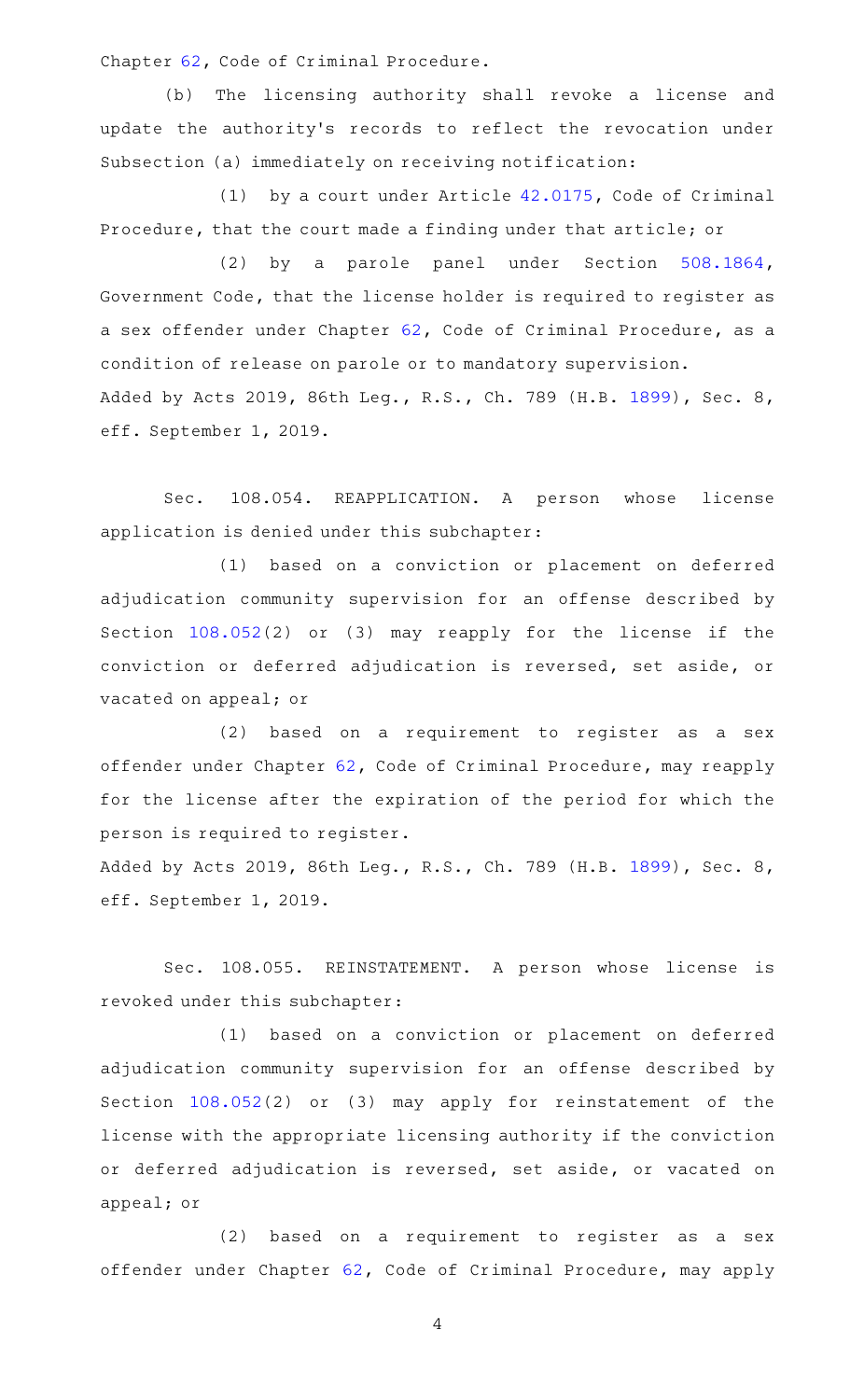Chapter [62,](http://www.statutes.legis.state.tx.us/GetStatute.aspx?Code=CR&Value=62) Code of Criminal Procedure.

(b) The licensing authority shall revoke a license and update the authority's records to reflect the revocation under Subsection (a) immediately on receiving notification:

(1) by a court under Article  $42.0175$ , Code of Criminal Procedure, that the court made a finding under that article; or

(2) by a parole panel under Section [508.1864](http://www.statutes.legis.state.tx.us/GetStatute.aspx?Code=GV&Value=508.1864), Government Code, that the license holder is required to register as a sex offender under Chapter [62,](http://www.statutes.legis.state.tx.us/GetStatute.aspx?Code=CR&Value=62) Code of Criminal Procedure, as a condition of release on parole or to mandatory supervision. Added by Acts 2019, 86th Leg., R.S., Ch. 789 (H.B. [1899](http://www.legis.state.tx.us/tlodocs/86R/billtext/html/HB01899F.HTM)), Sec. 8, eff. September 1, 2019.

Sec. 108.054. REAPPLICATION. A person whose license application is denied under this subchapter:

(1) based on a conviction or placement on deferred adjudication community supervision for an offense described by Section [108.052\(](http://www.statutes.legis.state.tx.us/GetStatute.aspx?Code=OC&Value=108.052)2) or (3) may reapply for the license if the conviction or deferred adjudication is reversed, set aside, or vacated on appeal; or

(2) based on a requirement to register as a sex offender under Chapter [62,](http://www.statutes.legis.state.tx.us/GetStatute.aspx?Code=CR&Value=62) Code of Criminal Procedure, may reapply for the license after the expiration of the period for which the person is required to register.

Added by Acts 2019, 86th Leg., R.S., Ch. 789 (H.B. [1899](http://www.legis.state.tx.us/tlodocs/86R/billtext/html/HB01899F.HTM)), Sec. 8, eff. September 1, 2019.

Sec. 108.055. REINSTATEMENT. A person whose license is revoked under this subchapter:

(1) based on a conviction or placement on deferred adjudication community supervision for an offense described by Section [108.052\(](http://www.statutes.legis.state.tx.us/GetStatute.aspx?Code=OC&Value=108.052)2) or (3) may apply for reinstatement of the license with the appropriate licensing authority if the conviction or deferred adjudication is reversed, set aside, or vacated on appeal; or

(2) based on a requirement to register as a sex offender under Chapter [62,](http://www.statutes.legis.state.tx.us/GetStatute.aspx?Code=CR&Value=62) Code of Criminal Procedure, may apply